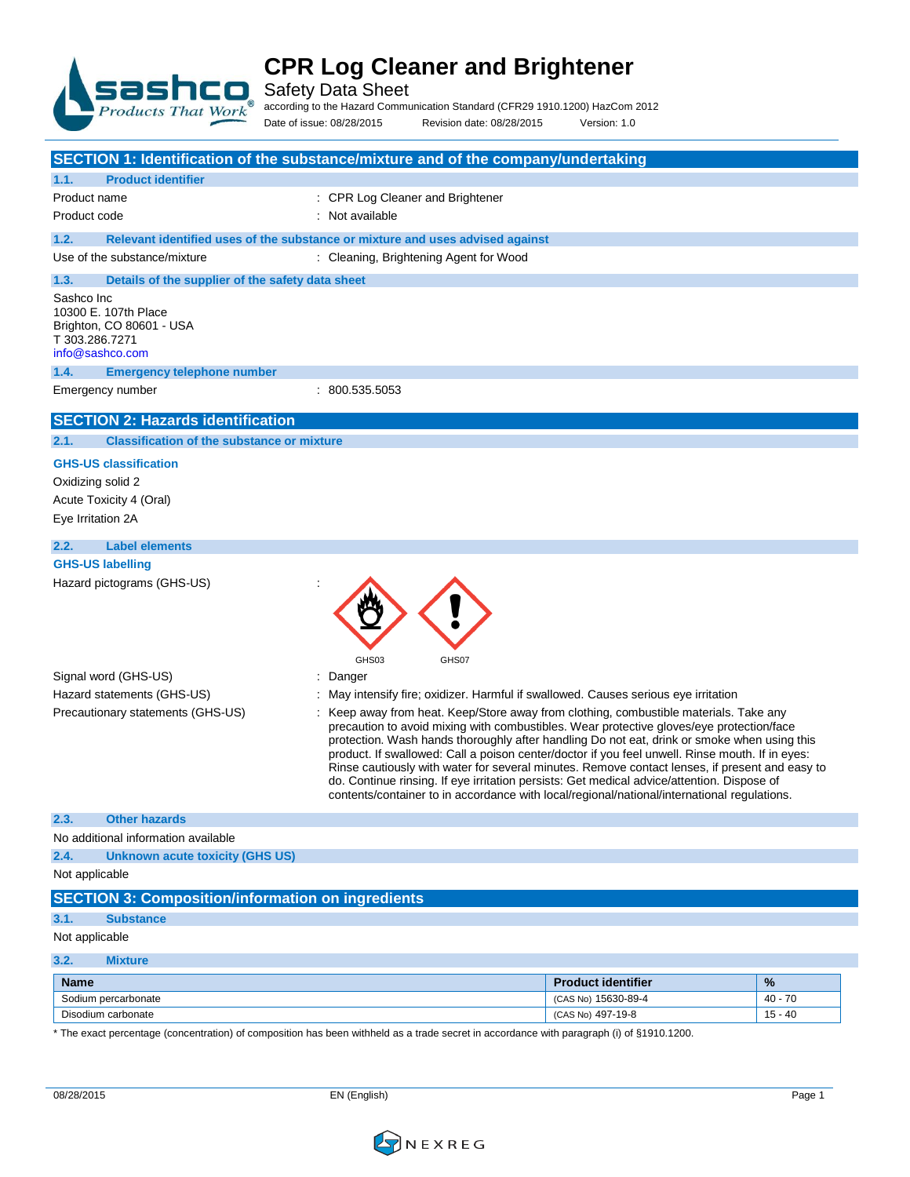

Safety Data Sheet

according to the Hazard Communication Standard (CFR29 1910.1200) HazCom 2012

Date of issue: 08/28/2015 Revision date: 08/28/2015 Version: 1.0

| SECTION 1: Identification of the substance/mixture and of the company/undertaking     |                                                                                                                                                                                                                                                                                                                                                                                                                                                                                                                                                                                                                                                                                  |                           |           |
|---------------------------------------------------------------------------------------|----------------------------------------------------------------------------------------------------------------------------------------------------------------------------------------------------------------------------------------------------------------------------------------------------------------------------------------------------------------------------------------------------------------------------------------------------------------------------------------------------------------------------------------------------------------------------------------------------------------------------------------------------------------------------------|---------------------------|-----------|
| 1.1.<br><b>Product identifier</b>                                                     |                                                                                                                                                                                                                                                                                                                                                                                                                                                                                                                                                                                                                                                                                  |                           |           |
| Product name                                                                          | : CPR Log Cleaner and Brightener                                                                                                                                                                                                                                                                                                                                                                                                                                                                                                                                                                                                                                                 |                           |           |
| Product code                                                                          | : Not available                                                                                                                                                                                                                                                                                                                                                                                                                                                                                                                                                                                                                                                                  |                           |           |
| 1.2.                                                                                  | Relevant identified uses of the substance or mixture and uses advised against                                                                                                                                                                                                                                                                                                                                                                                                                                                                                                                                                                                                    |                           |           |
| Use of the substance/mixture                                                          | : Cleaning, Brightening Agent for Wood                                                                                                                                                                                                                                                                                                                                                                                                                                                                                                                                                                                                                                           |                           |           |
| Details of the supplier of the safety data sheet<br>1.3.                              |                                                                                                                                                                                                                                                                                                                                                                                                                                                                                                                                                                                                                                                                                  |                           |           |
| Sashco Inc                                                                            |                                                                                                                                                                                                                                                                                                                                                                                                                                                                                                                                                                                                                                                                                  |                           |           |
| 10300 E. 107th Place<br>Brighton, CO 80601 - USA<br>T 303.286.7271<br>info@sashco.com |                                                                                                                                                                                                                                                                                                                                                                                                                                                                                                                                                                                                                                                                                  |                           |           |
| 1.4.<br><b>Emergency telephone number</b>                                             |                                                                                                                                                                                                                                                                                                                                                                                                                                                                                                                                                                                                                                                                                  |                           |           |
| Emergency number                                                                      | : 800.535.5053                                                                                                                                                                                                                                                                                                                                                                                                                                                                                                                                                                                                                                                                   |                           |           |
| <b>SECTION 2: Hazards identification</b>                                              |                                                                                                                                                                                                                                                                                                                                                                                                                                                                                                                                                                                                                                                                                  |                           |           |
| <b>Classification of the substance or mixture</b><br>2.1.                             |                                                                                                                                                                                                                                                                                                                                                                                                                                                                                                                                                                                                                                                                                  |                           |           |
| <b>GHS-US classification</b>                                                          |                                                                                                                                                                                                                                                                                                                                                                                                                                                                                                                                                                                                                                                                                  |                           |           |
| Oxidizing solid 2                                                                     |                                                                                                                                                                                                                                                                                                                                                                                                                                                                                                                                                                                                                                                                                  |                           |           |
| Acute Toxicity 4 (Oral)                                                               |                                                                                                                                                                                                                                                                                                                                                                                                                                                                                                                                                                                                                                                                                  |                           |           |
| Eye Irritation 2A                                                                     |                                                                                                                                                                                                                                                                                                                                                                                                                                                                                                                                                                                                                                                                                  |                           |           |
| <b>Label elements</b><br>2.2.                                                         |                                                                                                                                                                                                                                                                                                                                                                                                                                                                                                                                                                                                                                                                                  |                           |           |
| <b>GHS-US labelling</b>                                                               |                                                                                                                                                                                                                                                                                                                                                                                                                                                                                                                                                                                                                                                                                  |                           |           |
|                                                                                       | GHS03<br>GHS07                                                                                                                                                                                                                                                                                                                                                                                                                                                                                                                                                                                                                                                                   |                           |           |
| Signal word (GHS-US)                                                                  | : Danger                                                                                                                                                                                                                                                                                                                                                                                                                                                                                                                                                                                                                                                                         |                           |           |
| Hazard statements (GHS-US)                                                            | May intensify fire; oxidizer. Harmful if swallowed. Causes serious eye irritation                                                                                                                                                                                                                                                                                                                                                                                                                                                                                                                                                                                                |                           |           |
| Precautionary statements (GHS-US)                                                     | Keep away from heat. Keep/Store away from clothing, combustible materials. Take any<br>precaution to avoid mixing with combustibles. Wear protective gloves/eye protection/face<br>protection. Wash hands thoroughly after handling Do not eat, drink or smoke when using this<br>product. If swallowed: Call a poison center/doctor if you feel unwell. Rinse mouth. If in eyes:<br>Rinse cautiously with water for several minutes. Remove contact lenses, if present and easy to<br>do. Continue rinsing. If eye irritation persists: Get medical advice/attention. Dispose of<br>contents/container to in accordance with local/regional/national/international regulations. |                           |           |
| 2.3.<br><b>Other hazards</b>                                                          |                                                                                                                                                                                                                                                                                                                                                                                                                                                                                                                                                                                                                                                                                  |                           |           |
| No additional information available                                                   |                                                                                                                                                                                                                                                                                                                                                                                                                                                                                                                                                                                                                                                                                  |                           |           |
| <b>Unknown acute toxicity (GHS US)</b><br>2.4.                                        |                                                                                                                                                                                                                                                                                                                                                                                                                                                                                                                                                                                                                                                                                  |                           |           |
| Not applicable                                                                        |                                                                                                                                                                                                                                                                                                                                                                                                                                                                                                                                                                                                                                                                                  |                           |           |
| <b>SECTION 3: Composition/information on ingredients</b>                              |                                                                                                                                                                                                                                                                                                                                                                                                                                                                                                                                                                                                                                                                                  |                           |           |
| 3.1.<br><b>Substance</b>                                                              |                                                                                                                                                                                                                                                                                                                                                                                                                                                                                                                                                                                                                                                                                  |                           |           |
| Not applicable                                                                        |                                                                                                                                                                                                                                                                                                                                                                                                                                                                                                                                                                                                                                                                                  |                           |           |
| 3.2.<br><b>Mixture</b>                                                                |                                                                                                                                                                                                                                                                                                                                                                                                                                                                                                                                                                                                                                                                                  |                           |           |
| <b>Name</b>                                                                           |                                                                                                                                                                                                                                                                                                                                                                                                                                                                                                                                                                                                                                                                                  | <b>Product identifier</b> | %         |
| Sodium percarbonate                                                                   |                                                                                                                                                                                                                                                                                                                                                                                                                                                                                                                                                                                                                                                                                  | (CAS No) 15630-89-4       | $40 - 70$ |
| Disodium carbonate                                                                    |                                                                                                                                                                                                                                                                                                                                                                                                                                                                                                                                                                                                                                                                                  | (CAS No) 497-19-8         | $15 - 40$ |

\* The exact percentage (concentration) of composition has been withheld as a trade secret in accordance with paragraph (i) of §1910.1200.

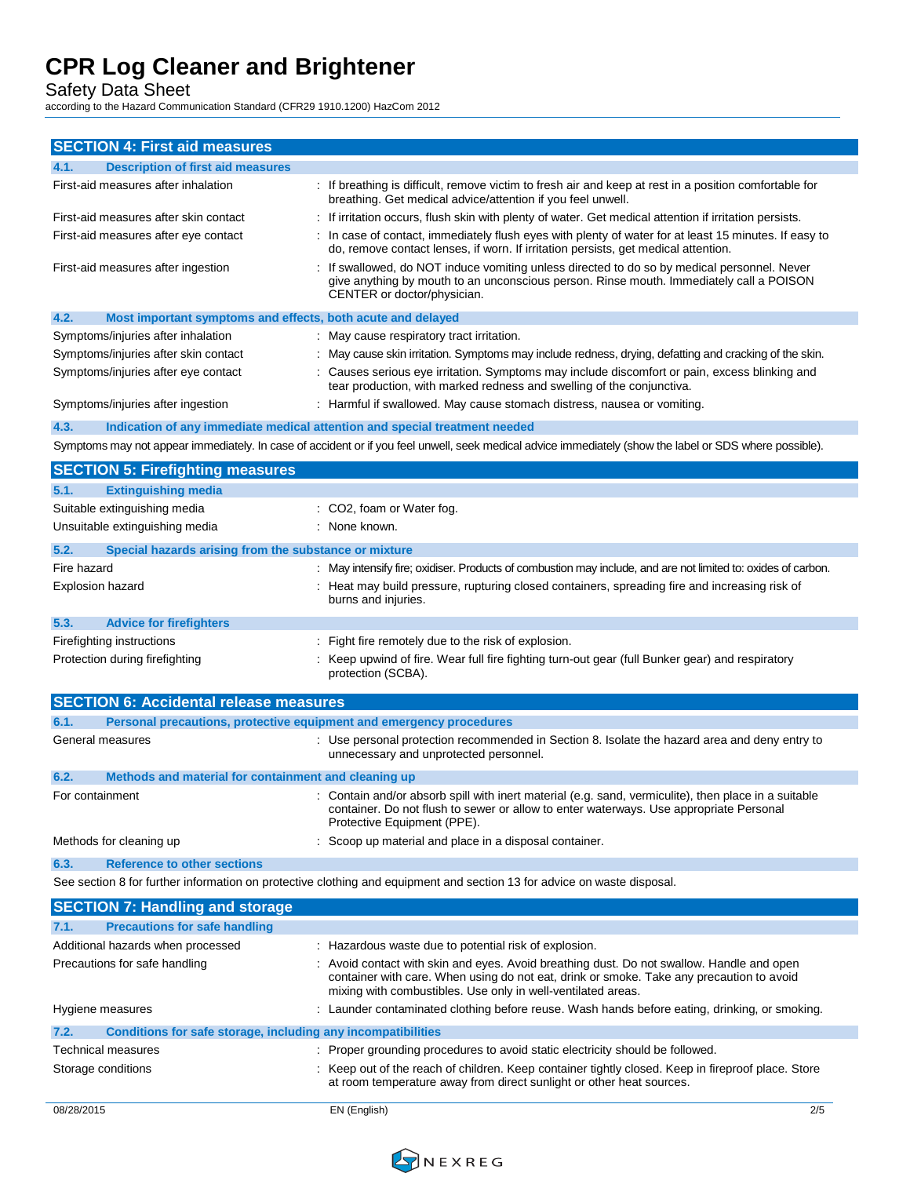Safety Data Sheet

according to the Hazard Communication Standard (CFR29 1910.1200) HazCom 2012

| <b>SECTION 4: First aid measures</b>                                               |                                                                                                                                                                                                                                                       |
|------------------------------------------------------------------------------------|-------------------------------------------------------------------------------------------------------------------------------------------------------------------------------------------------------------------------------------------------------|
| <b>Description of first aid measures</b><br>4.1.                                   |                                                                                                                                                                                                                                                       |
| First-aid measures after inhalation                                                | : If breathing is difficult, remove victim to fresh air and keep at rest in a position comfortable for<br>breathing. Get medical advice/attention if you feel unwell.                                                                                 |
| First-aid measures after skin contact                                              | : If irritation occurs, flush skin with plenty of water. Get medical attention if irritation persists.                                                                                                                                                |
| First-aid measures after eye contact                                               | : In case of contact, immediately flush eyes with plenty of water for at least 15 minutes. If easy to<br>do, remove contact lenses, if worn. If irritation persists, get medical attention.                                                           |
| First-aid measures after ingestion                                                 | If swallowed, do NOT induce vomiting unless directed to do so by medical personnel. Never<br>give anything by mouth to an unconscious person. Rinse mouth. Immediately call a POISON<br>CENTER or doctor/physician.                                   |
| 4.2.<br>Most important symptoms and effects, both acute and delayed                |                                                                                                                                                                                                                                                       |
| Symptoms/injuries after inhalation                                                 | : May cause respiratory tract irritation.                                                                                                                                                                                                             |
| Symptoms/injuries after skin contact                                               | May cause skin irritation. Symptoms may include redness, drying, defatting and cracking of the skin.                                                                                                                                                  |
| Symptoms/injuries after eye contact                                                | : Causes serious eye irritation. Symptoms may include discomfort or pain, excess blinking and<br>tear production, with marked redness and swelling of the conjunctiva.                                                                                |
| Symptoms/injuries after ingestion                                                  | : Harmful if swallowed. May cause stomach distress, nausea or vomiting.                                                                                                                                                                               |
| 4.3.<br>Indication of any immediate medical attention and special treatment needed |                                                                                                                                                                                                                                                       |
|                                                                                    | Symptoms may not appear immediately. In case of accident or if you feel unwell, seek medical advice immediately (show the label or SDS where possible).                                                                                               |
| <b>SECTION 5: Firefighting measures</b>                                            |                                                                                                                                                                                                                                                       |
| <b>Extinguishing media</b><br>5.1.                                                 |                                                                                                                                                                                                                                                       |
| Suitable extinguishing media                                                       | : CO2, foam or Water fog.                                                                                                                                                                                                                             |
| Unsuitable extinguishing media                                                     | : None known.                                                                                                                                                                                                                                         |
| 5.2.<br>Special hazards arising from the substance or mixture                      |                                                                                                                                                                                                                                                       |
| Fire hazard                                                                        | : May intensify fire; oxidiser. Products of combustion may include, and are not limited to: oxides of carbon.                                                                                                                                         |
| Explosion hazard                                                                   | : Heat may build pressure, rupturing closed containers, spreading fire and increasing risk of<br>burns and injuries.                                                                                                                                  |
| <b>Advice for firefighters</b><br>5.3.                                             |                                                                                                                                                                                                                                                       |
| Firefighting instructions                                                          | : Fight fire remotely due to the risk of explosion.                                                                                                                                                                                                   |
| Protection during firefighting                                                     | : Keep upwind of fire. Wear full fire fighting turn-out gear (full Bunker gear) and respiratory<br>protection (SCBA).                                                                                                                                 |
| <b>SECTION 6: Accidental release measures</b>                                      |                                                                                                                                                                                                                                                       |
| 6.1.<br>Personal precautions, protective equipment and emergency procedures        |                                                                                                                                                                                                                                                       |
| General measures                                                                   | : Use personal protection recommended in Section 8. Isolate the hazard area and deny entry to<br>unnecessary and unprotected personnel.                                                                                                               |
| 6.2.<br>Methods and material for containment and cleaning up                       |                                                                                                                                                                                                                                                       |
| For containment                                                                    | : Contain and/or absorb spill with inert material (e.g. sand, vermiculite), then place in a suitable<br>container. Do not flush to sewer or allow to enter waterways. Use appropriate Personal<br>Protective Equipment (PPE).                         |
| Methods for cleaning up                                                            | : Scoop up material and place in a disposal container.                                                                                                                                                                                                |
| 6.3.<br><b>Reference to other sections</b>                                         |                                                                                                                                                                                                                                                       |
|                                                                                    | See section 8 for further information on protective clothing and equipment and section 13 for advice on waste disposal.                                                                                                                               |
| <b>SECTION 7: Handling and storage</b>                                             |                                                                                                                                                                                                                                                       |
| 7.1.<br><b>Precautions for safe handling</b>                                       |                                                                                                                                                                                                                                                       |
| Additional hazards when processed                                                  | : Hazardous waste due to potential risk of explosion.                                                                                                                                                                                                 |
| Precautions for safe handling                                                      | : Avoid contact with skin and eyes. Avoid breathing dust. Do not swallow. Handle and open<br>container with care. When using do not eat, drink or smoke. Take any precaution to avoid<br>mixing with combustibles. Use only in well-ventilated areas. |
| Hygiene measures                                                                   | : Launder contaminated clothing before reuse. Wash hands before eating, drinking, or smoking.                                                                                                                                                         |
| 7.2.<br>Conditions for safe storage, including any incompatibilities               |                                                                                                                                                                                                                                                       |
| Technical measures                                                                 | : Proper grounding procedures to avoid static electricity should be followed.                                                                                                                                                                         |
| Storage conditions                                                                 | : Keep out of the reach of children. Keep container tightly closed. Keep in fireproof place. Store<br>at room temperature away from direct sunlight or other heat sources.                                                                            |

08/28/2015 EN (English) 2/5

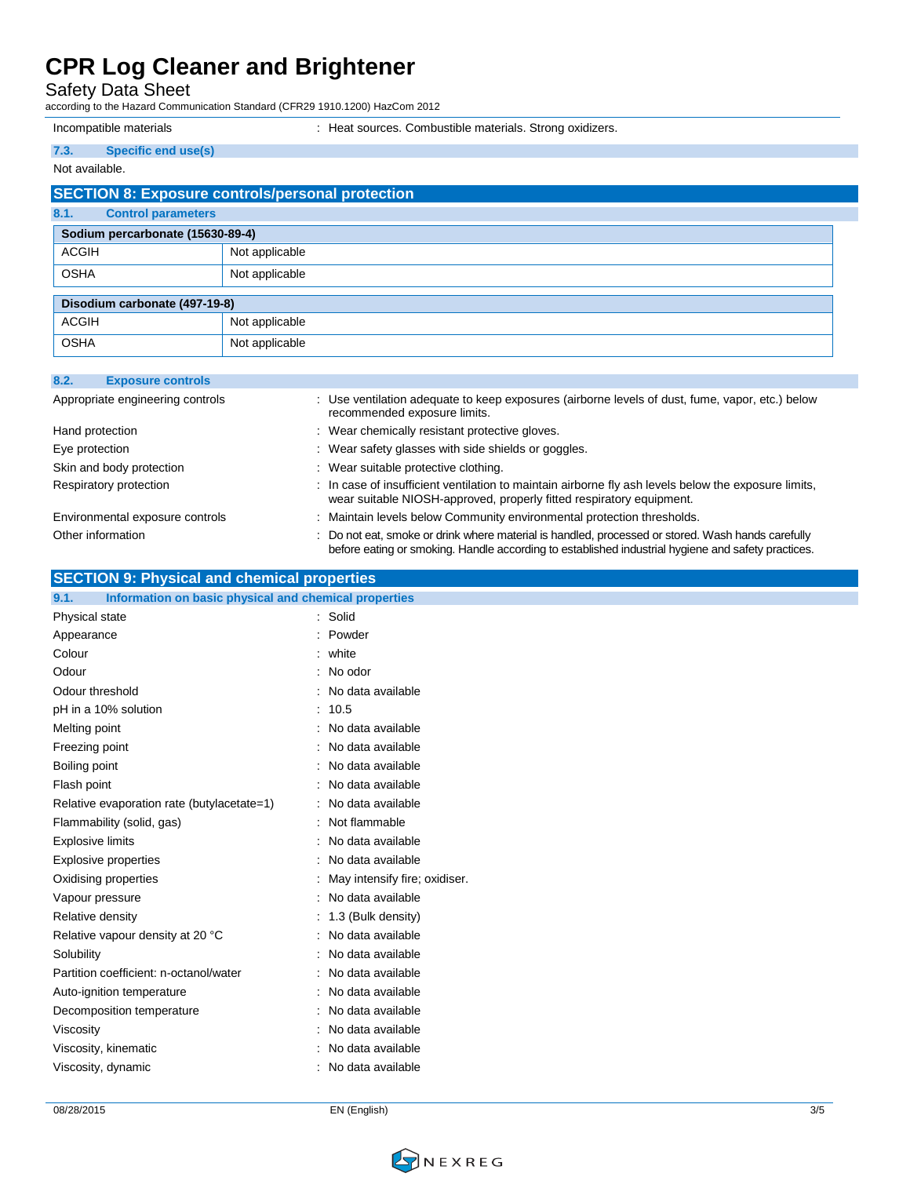Safety Data Sheet

according to the Hazard Communication Standard (CFR29 1910.1200) HazCom 2012

Incompatible materials : Heat sources. Combustible materials. Strong oxidizers.

| 7.3.                             | <b>Specific end use(s)</b> |                                                         |
|----------------------------------|----------------------------|---------------------------------------------------------|
| Not available.                   |                            |                                                         |
|                                  |                            | <b>SECTION 8: Exposure controls/personal protection</b> |
| 8.1.                             | <b>Control parameters</b>  |                                                         |
| Sodium percarbonate (15630-89-4) |                            |                                                         |
| <b>ACGIH</b>                     |                            | Not applicable                                          |
| <b>OSHA</b>                      |                            | Not applicable                                          |
| Disodium carbonate (497-19-8)    |                            |                                                         |
| <b>ACGIH</b>                     |                            | Not applicable                                          |
| <b>OSHA</b>                      |                            | Not applicable                                          |

| 8.2. | <b>Exposure controls</b>         |                                                                                                                                                                                                         |
|------|----------------------------------|---------------------------------------------------------------------------------------------------------------------------------------------------------------------------------------------------------|
|      | Appropriate engineering controls | : Use ventilation adequate to keep exposures (airborne levels of dust, fume, vapor, etc.) below<br>recommended exposure limits.                                                                         |
|      | Hand protection                  | : Wear chemically resistant protective gloves.                                                                                                                                                          |
|      | Eye protection                   | : Wear safety glasses with side shields or goggles.                                                                                                                                                     |
|      | Skin and body protection         | : Wear suitable protective clothing.                                                                                                                                                                    |
|      | Respiratory protection           | : In case of insufficient ventilation to maintain airborne fly ash levels below the exposure limits,<br>wear suitable NIOSH-approved, properly fitted respiratory equipment.                            |
|      | Environmental exposure controls  | : Maintain levels below Community environmental protection thresholds.                                                                                                                                  |
|      | Other information                | : Do not eat, smoke or drink where material is handled, processed or stored. Wash hands carefully<br>before eating or smoking. Handle according to established industrial hygiene and safety practices. |

| <b>SECTION 9: Physical and chemical properties</b> |
|----------------------------------------------------|
|----------------------------------------------------|

| 9.1.<br>Information on basic physical and chemical properties |                                 |
|---------------------------------------------------------------|---------------------------------|
| Physical state                                                | : Solid                         |
| Appearance                                                    | : Powder                        |
| Colour                                                        | $:$ white                       |
| Odour                                                         | : No odor                       |
| Odour threshold                                               | : No data available             |
| pH in a 10% solution                                          | : 10.5                          |
| Melting point                                                 | : No data available             |
| Freezing point                                                | : No data available             |
| Boiling point                                                 | : No data available             |
| Flash point                                                   | : No data available             |
| Relative evaporation rate (butylacetate=1)                    | : No data available             |
| Flammability (solid, gas)                                     | : Not flammable                 |
| <b>Explosive limits</b>                                       | : No data available             |
| Explosive properties                                          | : No data available             |
| Oxidising properties                                          | : May intensify fire; oxidiser. |
| Vapour pressure                                               | : No data available             |
| Relative density                                              | $: 1.3$ (Bulk density)          |
| Relative vapour density at 20 °C                              | : No data available             |
| Solubility                                                    | : No data available             |
| Partition coefficient: n-octanol/water                        | : No data available             |
| Auto-ignition temperature                                     | : No data available             |
| Decomposition temperature                                     | : No data available             |
| Viscosity                                                     | : No data available             |
| Viscosity, kinematic                                          | : No data available             |
| Viscosity, dynamic                                            | : No data available             |
|                                                               |                                 |

08/28/2015 EN (English) 3/5

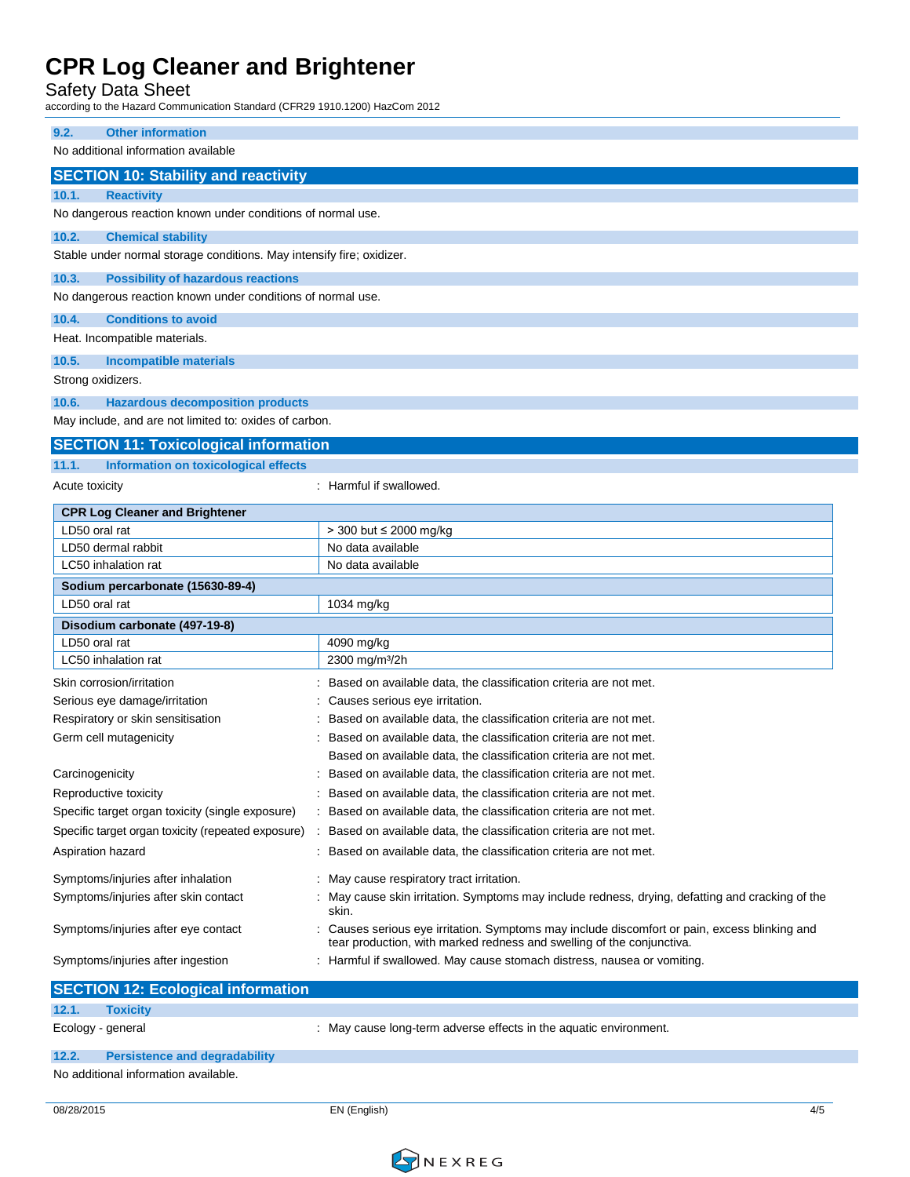Safety Data Sheet

according to the Hazard Communication Standard (CFR29 1910.1200) HazCom 2012

| <b>Other information</b><br>9.2.                                                                         |                                                                                                                                                                        |
|----------------------------------------------------------------------------------------------------------|------------------------------------------------------------------------------------------------------------------------------------------------------------------------|
| No additional information available                                                                      |                                                                                                                                                                        |
| <b>SECTION 10: Stability and reactivity</b>                                                              |                                                                                                                                                                        |
| 10.1.<br><b>Reactivity</b>                                                                               |                                                                                                                                                                        |
| No dangerous reaction known under conditions of normal use.                                              |                                                                                                                                                                        |
| 10.2.<br><b>Chemical stability</b>                                                                       |                                                                                                                                                                        |
| Stable under normal storage conditions. May intensify fire; oxidizer.                                    |                                                                                                                                                                        |
| 10.3.                                                                                                    |                                                                                                                                                                        |
| <b>Possibility of hazardous reactions</b><br>No dangerous reaction known under conditions of normal use. |                                                                                                                                                                        |
|                                                                                                          |                                                                                                                                                                        |
| 10.4.<br><b>Conditions to avoid</b>                                                                      |                                                                                                                                                                        |
| Heat. Incompatible materials.                                                                            |                                                                                                                                                                        |
| 10.5.<br><b>Incompatible materials</b>                                                                   |                                                                                                                                                                        |
| Strong oxidizers.                                                                                        |                                                                                                                                                                        |
| 10.6.<br><b>Hazardous decomposition products</b>                                                         |                                                                                                                                                                        |
| May include, and are not limited to: oxides of carbon.                                                   |                                                                                                                                                                        |
| <b>SECTION 11: Toxicological information</b>                                                             |                                                                                                                                                                        |
| <b>Information on toxicological effects</b><br>11.1.                                                     |                                                                                                                                                                        |
| <b>Acute toxicity</b>                                                                                    | : Harmful if swallowed.                                                                                                                                                |
|                                                                                                          |                                                                                                                                                                        |
| <b>CPR Log Cleaner and Brightener</b>                                                                    |                                                                                                                                                                        |
| LD50 oral rat                                                                                            | > 300 but ≤ 2000 mg/kg                                                                                                                                                 |
| LD50 dermal rabbit                                                                                       | No data available                                                                                                                                                      |
| LC50 inhalation rat                                                                                      | No data available                                                                                                                                                      |
| Sodium percarbonate (15630-89-4)                                                                         |                                                                                                                                                                        |
| LD50 oral rat                                                                                            | 1034 mg/kg                                                                                                                                                             |
| Disodium carbonate (497-19-8)                                                                            |                                                                                                                                                                        |
| LD50 oral rat                                                                                            | 4090 mg/kg                                                                                                                                                             |
| LC50 inhalation rat                                                                                      | 2300 mg/m <sup>3</sup> /2h                                                                                                                                             |
| Skin corrosion/irritation                                                                                | Based on available data, the classification criteria are not met.                                                                                                      |
| Serious eye damage/irritation                                                                            | Causes serious eye irritation.                                                                                                                                         |
| Respiratory or skin sensitisation                                                                        | Based on available data, the classification criteria are not met.                                                                                                      |
| Germ cell mutagenicity                                                                                   | Based on available data, the classification criteria are not met.                                                                                                      |
|                                                                                                          | Based on available data, the classification criteria are not met.                                                                                                      |
| Carcinogenicity                                                                                          | Based on available data, the classification criteria are not met.                                                                                                      |
| Reproductive toxicity                                                                                    | : Based on available data, the classification criteria are not met.                                                                                                    |
| Specific target organ toxicity (single exposure)                                                         | Based on available data, the classification criteria are not met.                                                                                                      |
| Specific target organ toxicity (repeated exposure)                                                       | Based on available data, the classification criteria are not met.                                                                                                      |
| Aspiration hazard                                                                                        | : Based on available data, the classification criteria are not met.                                                                                                    |
|                                                                                                          |                                                                                                                                                                        |
| Symptoms/injuries after inhalation                                                                       | : May cause respiratory tract irritation.                                                                                                                              |
| Symptoms/injuries after skin contact                                                                     | May cause skin irritation. Symptoms may include redness, drying, defatting and cracking of the<br>skin.                                                                |
| Symptoms/injuries after eye contact                                                                      | : Causes serious eye irritation. Symptoms may include discomfort or pain, excess blinking and<br>tear production, with marked redness and swelling of the conjunctiva. |
| Symptoms/injuries after ingestion                                                                        | : Harmful if swallowed. May cause stomach distress, nausea or vomiting.                                                                                                |
|                                                                                                          |                                                                                                                                                                        |
| <b>SECTION 12: Ecological information</b>                                                                |                                                                                                                                                                        |

| $\blacksquare$                       | <b>TUAIGHV</b>                       |                                                                   |
|--------------------------------------|--------------------------------------|-------------------------------------------------------------------|
|                                      | Ecology - general                    | : May cause long-term adverse effects in the aquatic environment. |
| 12.2.                                | <b>Persistence and degradability</b> |                                                                   |
| No additional information available. |                                      |                                                                   |

08/28/2015 EN (English) 4/5